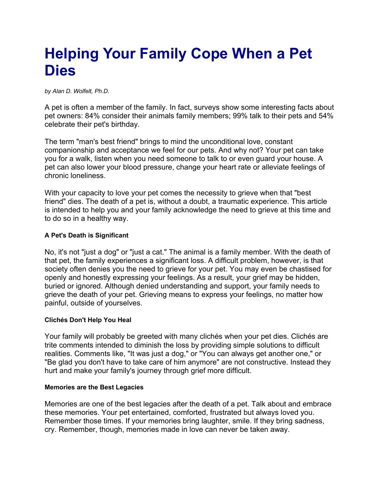# **Helping Your Family Cope When a Pet Dies**

*by Alan D. Wolfelt, Ph.D.*

A pet is often a member of the family. In fact, surveys show some interesting facts about pet owners: 84% consider their animals family members; 99% talk to their pets and 54% celebrate their pet's birthday.

The term "man's best friend" brings to mind the unconditional love, constant companionship and acceptance we feel for our pets. And why not? Your pet can take you for a walk, listen when you need someone to talk to or even guard your house. A pet can also lower your blood pressure, change your heart rate or alleviate feelings of chronic loneliness.

With your capacity to love your pet comes the necessity to grieve when that "best friend" dies. The death of a pet is, without a doubt, a traumatic experience. This article is intended to help you and your family acknowledge the need to grieve at this time and to do so in a healthy way.

# **A Pet's Death is Significant**

No, it's not "just a dog" or "just a cat." The animal is a family member. With the death of that pet, the family experiences a significant loss. A difficult problem, however, is that society often denies you the need to grieve for your pet. You may even be chastised for openly and honestly expressing your feelings. As a result, your grief may be hidden, buried or ignored. Although denied understanding and support, your family needs to grieve the death of your pet. Grieving means to express your feelings, no matter how painful, outside of yourselves.

## **Clichés Don't Help You Heal**

Your family will probably be greeted with many clichés when your pet dies. Clichés are trite comments intended to diminish the loss by providing simple solutions to difficult realities. Comments like, "It was just a dog," or "You can always get another one," or "Be glad you don't have to take care of him anymore" are not constructive. Instead they hurt and make your family's journey through grief more difficult.

## **Memories are the Best Legacies**

Memories are one of the best legacies after the death of a pet. Talk about and embrace these memories. Your pet entertained, comforted, frustrated but always loved you. Remember those times. If your memories bring laughter, smile. If they bring sadness, cry. Remember, though, memories made in love can never be taken away.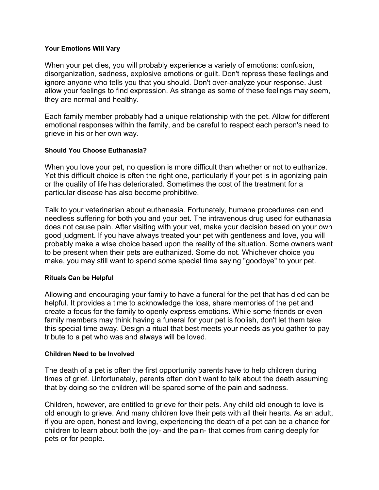#### **Your Emotions Will Vary**

When your pet dies, you will probably experience a variety of emotions: confusion, disorganization, sadness, explosive emotions or guilt. Don't repress these feelings and ignore anyone who tells you that you should. Don't over-analyze your response. Just allow your feelings to find expression. As strange as some of these feelings may seem, they are normal and healthy.

Each family member probably had a unique relationship with the pet. Allow for different emotional responses within the family, and be careful to respect each person's need to grieve in his or her own way.

## **Should You Choose Euthanasia?**

When you love your pet, no question is more difficult than whether or not to euthanize. Yet this difficult choice is often the right one, particularly if your pet is in agonizing pain or the quality of life has deteriorated. Sometimes the cost of the treatment for a particular disease has also become prohibitive.

Talk to your veterinarian about euthanasia. Fortunately, humane procedures can end needless suffering for both you and your pet. The intravenous drug used for euthanasia does not cause pain. After visiting with your vet, make your decision based on your own good judgment. If you have always treated your pet with gentleness and love, you will probably make a wise choice based upon the reality of the situation. Some owners want to be present when their pets are euthanized. Some do not. Whichever choice you make, you may still want to spend some special time saying "goodbye" to your pet.

#### **Rituals Can be Helpful**

Allowing and encouraging your family to have a funeral for the pet that has died can be helpful. It provides a time to acknowledge the loss, share memories of the pet and create a focus for the family to openly express emotions. While some friends or even family members may think having a funeral for your pet is foolish, don't let them take this special time away. Design a ritual that best meets your needs as you gather to pay tribute to a pet who was and always will be loved.

#### **Children Need to be Involved**

The death of a pet is often the first opportunity parents have to help children during times of grief. Unfortunately, parents often don't want to talk about the death assuming that by doing so the children will be spared some of the pain and sadness.

Children, however, are entitled to grieve for their pets. Any child old enough to love is old enough to grieve. And many children love their pets with all their hearts. As an adult, if you are open, honest and loving, experiencing the death of a pet can be a chance for children to learn about both the joy- and the pain- that comes from caring deeply for pets or for people.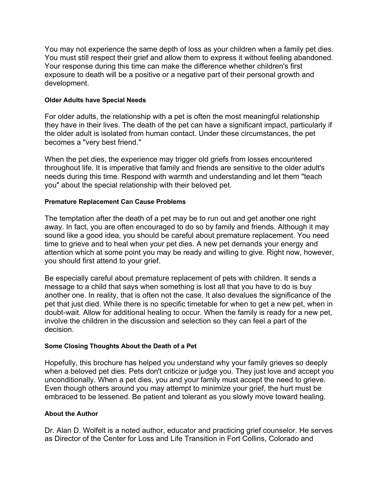You may not experience the same depth of loss as your children when a family pet dies. You must still respect their grief and allow them to express it without feeling abandoned. Your response during this time can make the difference whether children's first exposure to death will be a positive or a negative part of their personal growth and development.

## **Older Adults have Special Needs**

For older adults, the relationship with a pet is often the most meaningful relationship they have in their lives. The death of the pet can have a significant impact, particularly if the older adult is isolated from human contact. Under these circumstances, the pet becomes a "very best friend."

When the pet dies, the experience may trigger old griefs from losses encountered throughout life. It is imperative that family and friends are sensitive to the older adult's needs during this time. Respond with warmth and understanding and let them "teach you" about the special relationship with their beloved pet.

# **Premature Replacement Can Cause Problems**

The temptation after the death of a pet may be to run out and get another one right away. In fact, you are often encouraged to do so by family and friends. Although it may sound like a good idea, you should be careful about premature replacement. You need time to grieve and to heal when your pet dies. A new pet demands your energy and attention which at some point you may be ready and willing to give. Right now, however, you should first attend to your grief.

Be especially careful about premature replacement of pets with children. It sends a message to a child that says when something is lost all that you have to do is buy another one. In reality, that is often not the case. It also devalues the significance of the pet that just died. While there is no specific timetable for when to get a new pet, when in doubt-wait. Allow for additional healing to occur. When the family is ready for a new pet, involve the children in the discussion and selection so they can feel a part of the decision.

## **Some Closing Thoughts About the Death of a Pet**

Hopefully, this brochure has helped you understand why your family grieves so deeply when a beloved pet dies. Pets don't criticize or judge you. They just love and accept you unconditionally. When a pet dies, you and your family must accept the need to grieve. Even though others around you may attempt to minimize your grief, the hurt must be embraced to be lessened. Be patient and tolerant as you slowly move toward healing.

## **About the Author**

Dr. Alan D. Wolfelt is a noted author, educator and practicing grief counselor. He serves as Director of the Center for Loss and Life Transition in Fort Collins, Colorado and